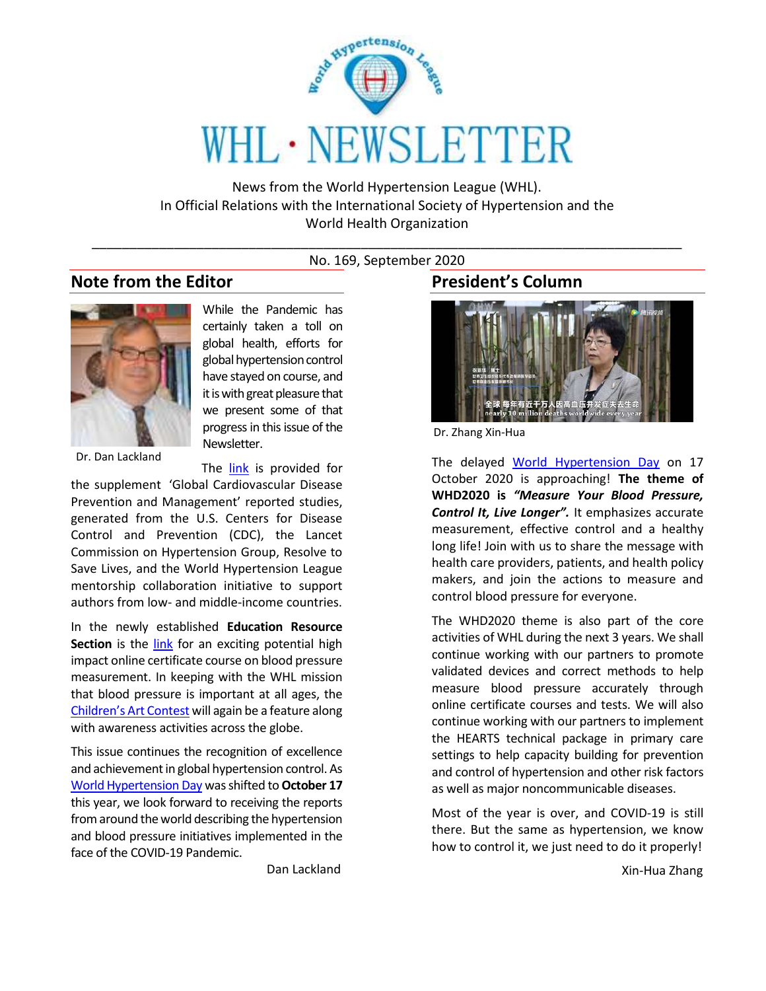

News from the World Hypertension League (WHL). In Official Relations with the International Society of Hypertension and the World Health Organization

\_\_\_\_\_\_\_\_\_\_\_\_\_\_\_\_\_\_\_\_\_\_\_\_\_\_\_\_\_\_\_\_\_\_\_\_\_\_\_\_\_\_\_\_\_\_\_\_\_\_\_\_\_\_\_\_\_\_\_\_\_\_\_\_\_\_\_\_\_\_\_\_\_\_\_\_\_\_\_ No. 169, September 2020

## **Note from the Editor**



Dr. Dan Lackland

The [link](https://onlinelibrary.wiley.com/toc/17517176/2020/22/8) is provided for the supplement 'Global Cardiovascular Disease Prevention and Management' reported studies, generated from the U.S. Centers for Disease Control and Prevention (CDC), the Lancet Commission on Hypertension Group, Resolve to Save Lives, and the World Hypertension League mentorship collaboration initiative to support authors from low- and middle-income countries.

Newsletter.

While the Pandemic has certainly taken a toll on global health, efforts for global hypertension control have stayed on course, and it is with great pleasure that we present some of that progress in this issue of the

In the newly established **Education Resource Section** is the *link* for an exciting potential high impact online certificate course on blood pressure measurement. In keeping with the WHL mission that blood pressure is important at all ages, the [Children's Art Contest](http://www.whleague.org/index.php/news-awards-recognition/art) will again be a feature along with awareness activities across the globe.

This issue continues the recognition of excellence and achievement in global hypertension control. As [World Hypertension Day](http://www.whleague.org/index.php/features/world-hypertension-day) was shifted to **October 17** this year, we look forward to receiving the reports from around the world describing the hypertension and blood pressure initiatives implemented in the face of the COVID-19 Pandemic.

Dan Lackland

## **President's Column**



Dr. Zhang Xin-Hua

The delayed [World Hypertension Day](http://www.whleague.org/index.php/features/world-hypertension-day) on 17 October 2020 is approaching! **The theme of WHD2020 is** *"Measure Your Blood Pressure, Control It, Live Longer".* It emphasizes accurate measurement, effective control and a healthy long life! Join with us to share the message with health care providers, patients, and health policy makers, and join the actions to measure and control blood pressure for everyone.

The WHD2020 theme is also part of the core activities of WHL during the next 3 years. We shall continue working with our partners to promote validated devices and correct methods to help measure blood pressure accurately through online certificate courses and tests. We will also continue working with our partners to implement the HEARTS technical package in primary care settings to help capacity building for prevention and control of hypertension and other risk factors as well as major noncommunicable diseases.

Most of the year is over, and COVID-19 is still there. But the same as hypertension, we know how to control it, we just need to do it properly!

Xin-Hua Zhang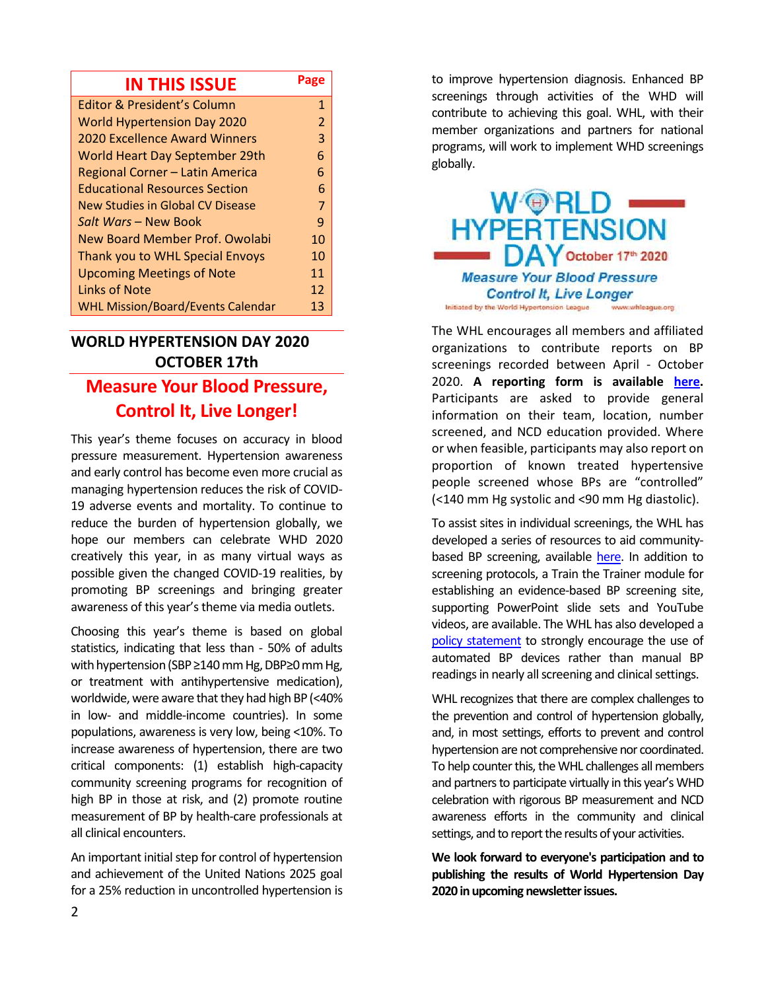| <b>IN THIS ISSUE</b>                     |                |
|------------------------------------------|----------------|
| <b>Editor &amp; President's Column</b>   | $\mathbf{1}$   |
| <b>World Hypertension Day 2020</b>       | $\overline{2}$ |
| <b>2020 Excellence Award Winners</b>     | 3              |
| World Heart Day September 29th           | 6              |
| Regional Corner - Latin America          | 6              |
| <b>Educational Resources Section</b>     | 6              |
| New Studies in Global CV Disease         | 7              |
| Salt Wars - New Book                     | 9              |
| New Board Member Prof. Owolabi           | 10             |
| Thank you to WHL Special Envoys          | 10             |
| <b>Upcoming Meetings of Note</b>         | 11             |
| Links of Note                            | 12             |
| <b>WHL Mission/Board/Events Calendar</b> | 13             |

# **WORLD HYPERTENSION DAY 2020 OCTOBER 17th Measure Your Blood Pressure, Control It, Live Longer!**

This year's theme focuses on accuracy in blood pressure measurement. Hypertension awareness and early control has become even more crucial as managing hypertension reduces the risk of COVID-19 adverse events and mortality. To continue to reduce the burden of hypertension globally, we hope our members can celebrate WHD 2020 creatively this year, in as many virtual ways as possible given the changed COVID-19 realities, by promoting BP screenings and bringing greater awareness of this year's theme via media outlets.

Choosing this year's theme is based on global statistics, indicating that less than - 50% of adults with hypertension (SBP ≥140 mm Hg, DBP≥0 mm Hg, or treatment with antihypertensive medication), worldwide, were aware that they had high BP (<40% in low- and middle-income countries). In some populations, awareness is very low, being <10%. To increase awareness of hypertension, there are two critical components: (1) establish high‐capacity community screening programs for recognition of high BP in those at risk, and (2) promote routine measurement of BP by health‐care professionals at all clinical encounters.

An important initial step for control of hypertension and achievement of the United Nations 2025 goal for a 25% reduction in uncontrolled hypertension is to improve hypertension diagnosis. Enhanced BP screenings through activities of the WHD will contribute to achieving this goal. WHL, with their member organizations and partners for national programs, will work to implement WHD screenings globally.



The WHL encourages all members and affiliated organizations to contribute reports on BP screenings recorded between April - October 2020. **A reporting form is available [here.](http://www.whleague.org/images/WHD2020DataReportingForm10_17_2020.pdf)** Participants are asked to provide general information on their team, location, number screened, and NCD education provided. Where or when feasible, participants may also report on proportion of known treated hypertensive people screened whose BPs are "controlled" (<140 mm Hg systolic and <90 mm Hg diastolic).

To assist sites in individual screenings, the WHL has developed a series of resources to aid community‐ based BP screening, available [here.](http://www.whleague.org/index.php/j-stuff/awareness-and-screening/blood-pressure-assessment-train-the-trainer) In addition to screening protocols, a Train the Trainer module for establishing an evidence‐based BP screening site, supporting PowerPoint slide sets and YouTube videos, are available. The WHL has also developed a [policy statement](https://onlinelibrary.wiley.com/doi/full/10.1111/jch.12336) to strongly encourage the use of automated BP devices rather than manual BP readings in nearly all screening and clinical settings.

WHL recognizes that there are complex challenges to the prevention and control of hypertension globally, and, in most settings, efforts to prevent and control hypertension are not comprehensive nor coordinated. To help counter this, the WHL challenges all members and partners to participate virtually in this year's WHD celebration with rigorous BP measurement and NCD awareness efforts in the community and clinical settings, and to report the results of your activities.

**We look forward to everyone's participation and to publishing the results of World Hypertension Day 2020 in upcoming newsletter issues.**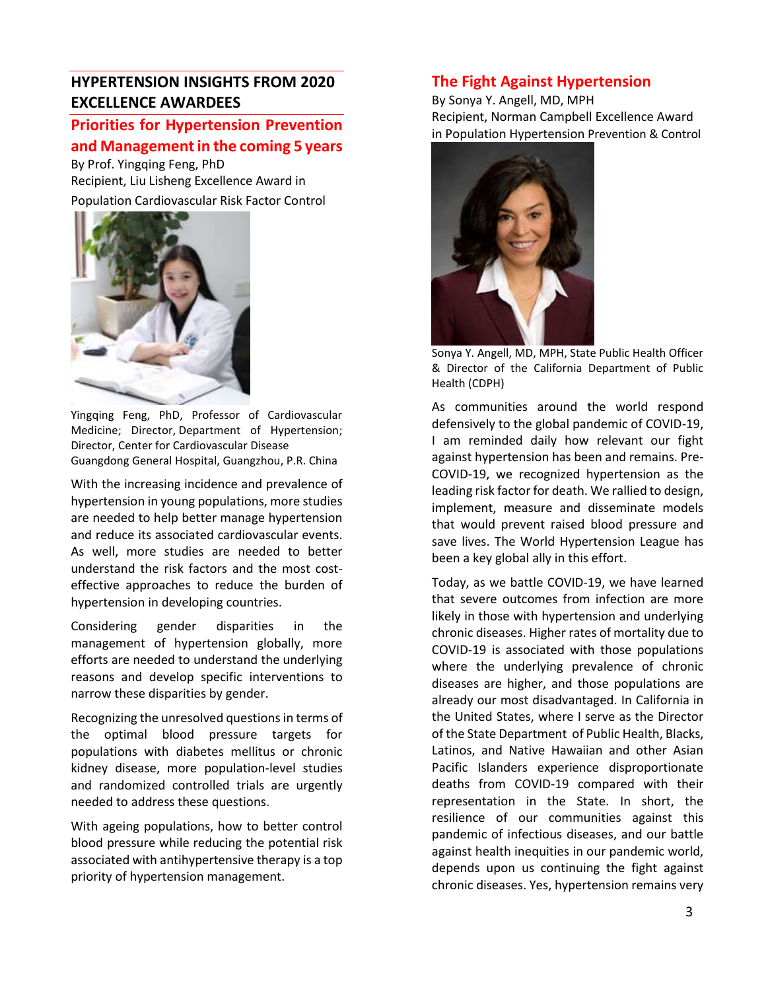## **HYPERTENSION INSIGHTS FROM 2020 EXCELLENCE AWARDEES**

## **Priorities for Hypertension Prevention and Management in the coming 5 years**

By Prof. Yingqing Feng, PhD Recipient, Liu Lisheng Excellence Award in Population Cardiovascular Risk Factor Control



Yingqing Feng, PhD, Professor of Cardiovascular Medicine; Director, Department of Hypertension; Director, Center for Cardiovascular Disease Guangdong General Hospital, Guangzhou, P.R. China

With the increasing incidence and prevalence of hypertension in young populations, more studies are needed to help better manage hypertension and reduce its associated cardiovascular events. As well, more studies are needed to better understand the risk factors and the most costeffective approaches to reduce the burden of hypertension in developing countries.

Considering gender disparities in the management of hypertension globally, more efforts are needed to understand the underlying reasons and develop specific interventions to narrow these disparities by gender.

Recognizing the unresolved questions in terms of the optimal blood pressure targets for populations with diabetes mellitus or chronic kidney disease, more population-level studies and randomized controlled trials are urgently needed to address these questions.

With ageing populations, how to better control blood pressure while reducing the potential risk associated with antihypertensive therapy is a top priority of hypertension management.

## **The Fight Against Hypertension**

By Sonya Y. Angell, MD, MPH Recipient, Norman Campbell Excellence Award in Population Hypertension Prevention & Control



Sonya Y. Angell, MD, MPH, State Public Health Officer & Director of the California Department of Public Health (CDPH)

As communities around the world respond defensively to the global pandemic of COVID-19, I am reminded daily how relevant our fight against hypertension has been and remains. Pre-COVID-19, we recognized hypertension as the leading risk factor for death. We rallied to design, implement, measure and disseminate models that would prevent raised blood pressure and save lives. The World Hypertension League has been a key global ally in this effort.

Today, as we battle COVID-19, we have learned that severe outcomes from infection are more likely in those with hypertension and underlying chronic diseases. Higher rates of mortality due to COVID-19 is associated with those populations where the underlying prevalence of chronic diseases are higher, and those populations are already our most disadvantaged. In California in the United States, where I serve as the Director of the State Department of Public Health, Blacks, Latinos, and Native Hawaiian and other Asian Pacific Islanders experience disproportionate deaths from COVID-19 compared with their representation in the State. In short, the resilience of our communities against this pandemic of infectious diseases, and our battle against health inequities in our pandemic world, depends upon us continuing the fight against chronic diseases. Yes, hypertension remains very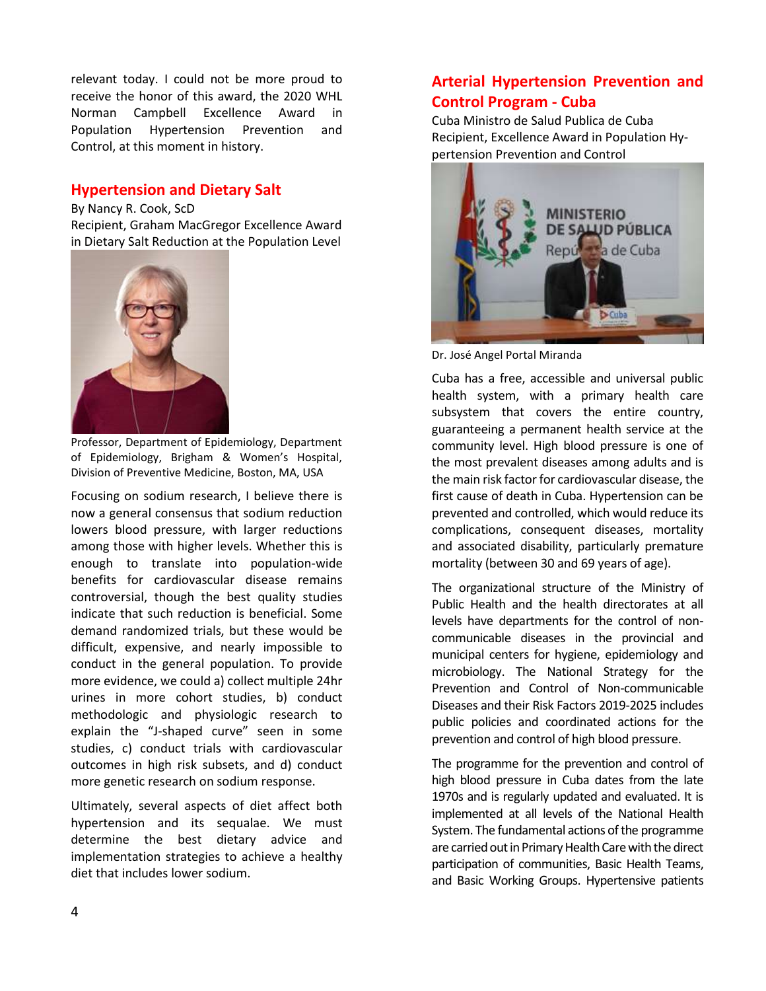relevant today. I could not be more proud to receive the honor of this award, the 2020 WHL Norman Campbell Excellence Award in Population Hypertension Prevention and Control, at this moment in history.

## **Hypertension and Dietary Salt**

By Nancy R. Cook, ScD Recipient, Graham MacGregor Excellence Award in Dietary Salt Reduction at the Population Level



Professor, Department of Epidemiology, Department of Epidemiology, Brigham & Women's Hospital, Division of Preventive Medicine, Boston, MA, USA

Focusing on sodium research, I believe there is now a general consensus that sodium reduction lowers blood pressure, with larger reductions among those with higher levels. Whether this is enough to translate into population-wide benefits for cardiovascular disease remains controversial, though the best quality studies indicate that such reduction is beneficial. Some demand randomized trials, but these would be difficult, expensive, and nearly impossible to conduct in the general population. To provide more evidence, we could a) collect multiple 24hr urines in more cohort studies, b) conduct methodologic and physiologic research to explain the "J-shaped curve" seen in some studies, c) conduct trials with cardiovascular outcomes in high risk subsets, and d) conduct more genetic research on sodium response.

Ultimately, several aspects of diet affect both hypertension and its sequalae. We must determine the best dietary advice and implementation strategies to achieve a healthy diet that includes lower sodium.

## **Arterial Hypertension Prevention and Control Program - Cuba**

Cuba Ministro de Salud Publica de Cuba Recipient, Excellence Award in Population Hypertension Prevention and Control



Dr. José Angel Portal Miranda

Cuba has a free, accessible and universal public health system, with a primary health care subsystem that covers the entire country, guaranteeing a permanent health service at the community level. High blood pressure is one of the most prevalent diseases among adults and is the main risk factor for cardiovascular disease, the first cause of death in Cuba. Hypertension can be prevented and controlled, which would reduce its complications, consequent diseases, mortality and associated disability, particularly premature mortality (between 30 and 69 years of age).

The organizational structure of the Ministry of Public Health and the health directorates at all levels have departments for the control of noncommunicable diseases in the provincial and municipal centers for hygiene, epidemiology and microbiology. The National Strategy for the Prevention and Control of Non-communicable Diseases and their Risk Factors 2019-2025 includes public policies and coordinated actions for the prevention and control of high blood pressure.

The programme for the prevention and control of high blood pressure in Cuba dates from the late 1970s and is regularly updated and evaluated. It is implemented at all levels of the National Health System. The fundamental actions of the programme are carried out in Primary Health Care with the direct participation of communities, Basic Health Teams, and Basic Working Groups. Hypertensive patients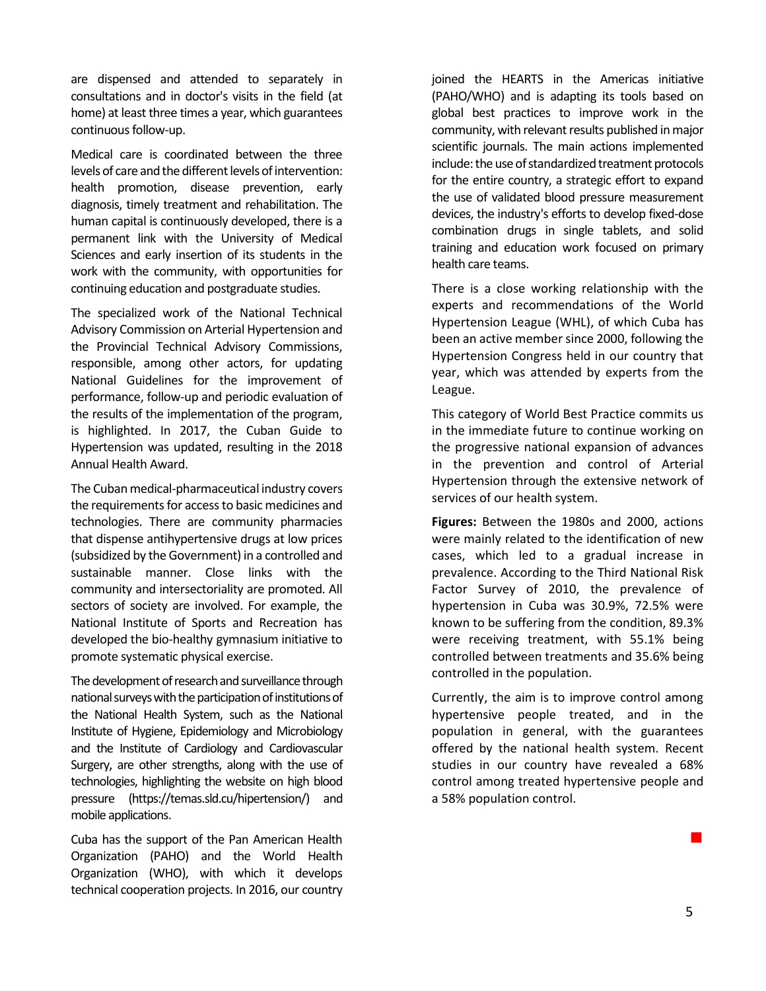are dispensed and attended to separately in consultations and in doctor's visits in the field (at home) at least three times a year, which guarantees continuous follow-up.

Medical care is coordinated between the three levels of care and the different levels of intervention: health promotion, disease prevention, early diagnosis, timely treatment and rehabilitation. The human capital is continuously developed, there is a permanent link with the University of Medical Sciences and early insertion of its students in the work with the community, with opportunities for continuing education and postgraduate studies.

The specialized work of the National Technical Advisory Commission on Arterial Hypertension and the Provincial Technical Advisory Commissions, responsible, among other actors, for updating National Guidelines for the improvement of performance, follow-up and periodic evaluation of the results of the implementation of the program, is highlighted. In 2017, the Cuban Guide to Hypertension was updated, resulting in the 2018 Annual Health Award.

The Cuban medical-pharmaceutical industry covers the requirements for access to basic medicines and technologies. There are community pharmacies that dispense antihypertensive drugs at low prices (subsidized by the Government) in a controlled and sustainable manner. Close links with the community and intersectoriality are promoted. All sectors of society are involved. For example, the National Institute of Sports and Recreation has developed the bio-healthy gymnasium initiative to promote systematic physical exercise.

The development of research and surveillance through national surveys with the participation of institutions of the National Health System, such as the National Institute of Hygiene, Epidemiology and Microbiology and the Institute of Cardiology and Cardiovascular Surgery, are other strengths, along with the use of technologies, highlighting the website on high blood pressure (https://temas.sld.cu/hipertension/) and mobile applications.

Cuba has the support of the Pan American Health Organization (PAHO) and the World Health Organization (WHO), with which it develops technical cooperation projects. In 2016, our country

joined the HEARTS in the Americas initiative (PAHO/WHO) and is adapting its tools based on global best practices to improve work in the community, with relevant results published in major scientific journals. The main actions implemented include: the use of standardized treatment protocols for the entire country, a strategic effort to expand the use of validated blood pressure measurement devices, the industry's efforts to develop fixed-dose combination drugs in single tablets, and solid training and education work focused on primary health care teams.

There is a close working relationship with the experts and recommendations of the World Hypertension League (WHL), of which Cuba has been an active member since 2000, following the Hypertension Congress held in our country that year, which was attended by experts from the League.

This category of World Best Practice commits us in the immediate future to continue working on the progressive national expansion of advances in the prevention and control of Arterial Hypertension through the extensive network of services of our health system.

**Figures:** Between the 1980s and 2000, actions were mainly related to the identification of new cases, which led to a gradual increase in prevalence. According to the Third National Risk Factor Survey of 2010, the prevalence of hypertension in Cuba was 30.9%, 72.5% were known to be suffering from the condition, 89.3% were receiving treatment, with 55.1% being controlled between treatments and 35.6% being controlled in the population.

Currently, the aim is to improve control among hypertensive people treated, and in the population in general, with the guarantees offered by the national health system. Recent studies in our country have revealed a 68% control among treated hypertensive people and a 58% population control.

**Contract Contract Contract**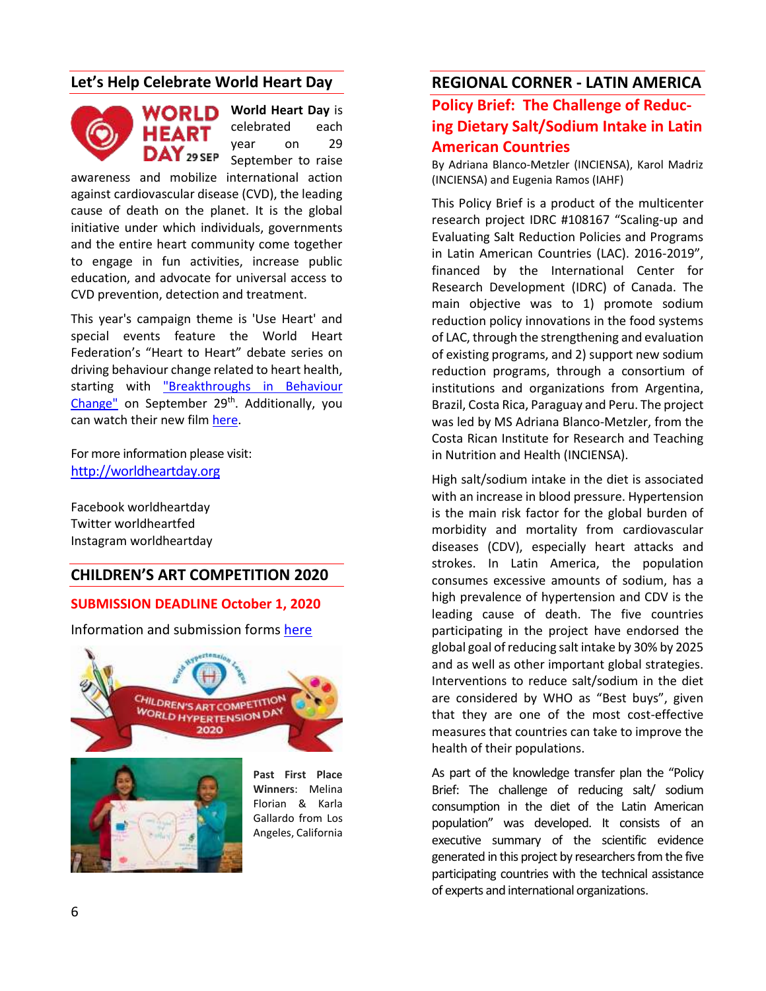## **Let's Help Celebrate World Heart Day**



**World Heart Day** is celebrated each year on 29 September to raise

awareness and mobilize international action against cardiovascular disease (CVD), the leading cause of death on the planet. It is the global initiative under which individuals, governments and the entire heart community come together to engage in fun activities, increase public education, and advocate for universal access to CVD prevention, detection and treatment.

This year's campaign theme is 'Use Heart' and special events feature the World Heart Federation's "Heart to Heart" debate series on driving behaviour change related to heart health, starting with ["Breakthroughs in Behaviour](https://www.world-heart-federation.org/world-heart-day/heart-to-heart?reset=1&id=7&noFullMsg=true)  [Change"](https://www.world-heart-federation.org/world-heart-day/heart-to-heart?reset=1&id=7&noFullMsg=true) on September 29<sup>th</sup>. Additionally, you can watch their new film [here.](https://www.youtube.com/watch?v=hJcw5RGjJSc&ab_channel=WorldHeartFederation)

For more information please visit: [http://worldheartday.org](http://worldheartday.org/)

Facebook worldheartday Twitter worldheartfed Instagram worldheartday

#### **CHILDREN'S ART COMPETITION 2020**

#### **SUBMISSION DEADLINE October 1, 2020**

Information and submission forms [here](http://www.whleague.org/index.php/news-awards-recognition/art)





Florian & Karla Gallardo from Los Angeles, California

## **REGIONAL CORNER - LATIN AMERICA**

## **Policy Brief: The Challenge of Reducing Dietary Salt/Sodium Intake in Latin American Countries**

By Adriana Blanco-Metzler (INCIENSA), Karol Madriz (INCIENSA) and Eugenia Ramos (IAHF)

This Policy Brief is a product of the multicenter research project IDRC #108167 "Scaling-up and Evaluating Salt Reduction Policies and Programs in Latin American Countries (LAC). 2016-2019", financed by the International Center for Research Development (IDRC) of Canada. The main objective was to 1) promote sodium reduction policy innovations in the food systems of LAC, through the strengthening and evaluation of existing programs, and 2) support new sodium reduction programs, through a consortium of institutions and organizations from Argentina, Brazil, Costa Rica, Paraguay and Peru. The project was led by MS Adriana Blanco-Metzler, from the Costa Rican Institute for Research and Teaching in Nutrition and Health (INCIENSA).

High salt/sodium intake in the diet is associated with an increase in blood pressure. Hypertension is the main risk factor for the global burden of morbidity and mortality from cardiovascular diseases (CDV), especially heart attacks and strokes. In Latin America, the population consumes excessive amounts of sodium, has a high prevalence of hypertension and CDV is the leading cause of death. The five countries participating in the project have endorsed the global goal of reducing salt intake by 30% by 2025 and as well as other important global strategies. Interventions to reduce salt/sodium in the diet are considered by WHO as "Best buys", given that they are one of the most cost-effective measures that countries can take to improve the health of their populations.

As part of the knowledge transfer plan the "Policy Brief: The challenge of reducing salt/ sodium consumption in the diet of the Latin American population" was developed. It consists of an executive summary of the scientific evidence generated in this project by researchers from the five participating countries with the technical assistance of experts and international organizations.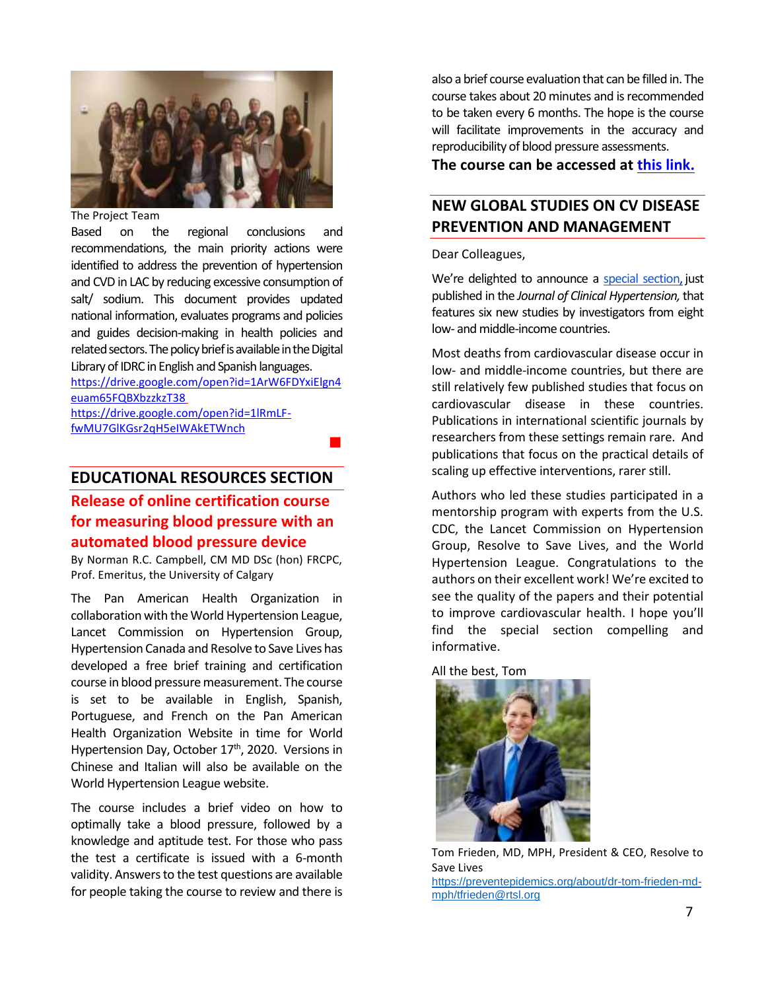

#### The Project Team

Based on the regional conclusions and recommendations, the main priority actions were identified to address the prevention of hypertension and CVD in LAC by reducing excessive consumption of salt/ sodium. This document provides updated national information, evaluates programs and policies and guides decision-making in health policies and related sectors.The policy brief is available in the Digital Library of IDRC in English and Spanish languages.

[https://drive.google.com/open?id=1ArW6FDYxiElgn4](https://urldefense.com/v3/__https:/drive.google.com/open?id=1ArW6FDYxiElgn4euam65FQBXbzzkzT38__;!!Ab1_Rw!SflN90-vndgQc4JVUEogHWWl34xJRyi27PFag05MB_C2sYeVm5an1uWrRadEEen1$) [euam65FQBXbzzkzT38](https://urldefense.com/v3/__https:/drive.google.com/open?id=1ArW6FDYxiElgn4euam65FQBXbzzkzT38__;!!Ab1_Rw!SflN90-vndgQc4JVUEogHWWl34xJRyi27PFag05MB_C2sYeVm5an1uWrRadEEen1$)  [https://drive.google.com/open?id=1lRmLF](https://urldefense.com/v3/__https:/drive.google.com/open?id=1lRmLF-fwMU7GlKGsr2qH5eIWAkETWnch__;!!Ab1_Rw!SflN90-vndgQc4JVUEogHWWl34xJRyi27PFag05MB_C2sYeVm5an1uWrRUnD_Wkh$)[fwMU7GlKGsr2qH5eIWAkETWnch](https://urldefense.com/v3/__https:/drive.google.com/open?id=1lRmLF-fwMU7GlKGsr2qH5eIWAkETWnch__;!!Ab1_Rw!SflN90-vndgQc4JVUEogHWWl34xJRyi27PFag05MB_C2sYeVm5an1uWrRUnD_Wkh$)

**Contract Contract District** 

### **EDUCATIONAL RESOURCES SECTION**

**Release of online certification course for measuring blood pressure with an automated blood pressure device**

By Norman R.C. Campbell, CM MD DSc (hon) FRCPC, Prof. Emeritus, the University of Calgary

The Pan American Health Organization in collaboration with the World Hypertension League, Lancet Commission on Hypertension Group, Hypertension Canada and Resolve to Save Lives has developed a free brief training and certification course in blood pressure measurement. The course is set to be available in English, Spanish, Portuguese, and French on the Pan American Health Organization Website in time for World Hypertension Day, October 17<sup>th</sup>, 2020. Versions in Chinese and Italian will also be available on the World Hypertension League website.

The course includes a brief video on how to optimally take a blood pressure, followed by a knowledge and aptitude test. For those who pass the test a certificate is issued with a 6-month validity. Answers to the test questions are available for people taking the course to review and there is also a brief course evaluation that can be filled in. The course takes about 20 minutes and is recommended to be taken every 6 months. The hope is the course will facilitate improvements in the accuracy and reproducibility of blood pressure assessments.

**The course can be accessed at [this link.](https://bit.ly/PAHOVC-Blood-Pressure-Measurement)**

## **NEW GLOBAL STUDIES ON CV DISEASE PREVENTION AND MANAGEMENT**

#### Dear Colleagues,

We're delighted to announce a [special section,](https://onlinelibrary.wiley.com/toc/17517176/2020/22/8) just published in the *Journal of Clinical Hypertension,*that features six new studies by investigators from eight low- and middle-income countries.

Most deaths from cardiovascular disease occur in low- and middle-income countries, but there are still relatively few published studies that focus on cardiovascular disease in these countries. Publications in international scientific journals by researchers from these settings remain rare. And publications that focus on the practical details of scaling up effective interventions, rarer still.

Authors who led these studies participated in a mentorship program with experts from the U.S. CDC, the Lancet Commission on Hypertension Group, Resolve to Save Lives, and the World Hypertension League. Congratulations to the authors on their excellent work! We're excited to see the quality of the papers and their potential to improve cardiovascular health. I hope you'll find the special section compelling and informative.

All the best, Tom



Tom Frieden, MD, MPH, President & CEO, Resolve to Save Lives [https://preventepidemics.org/about/dr-tom-frieden-md](https://preventepidemics.org/about/dr-tom-frieden-md-mph/)[mph/](https://preventepidemics.org/about/dr-tom-frieden-md-mph/)[tfrieden@rtsl.org](mailto:tfrieden@rtsl.org)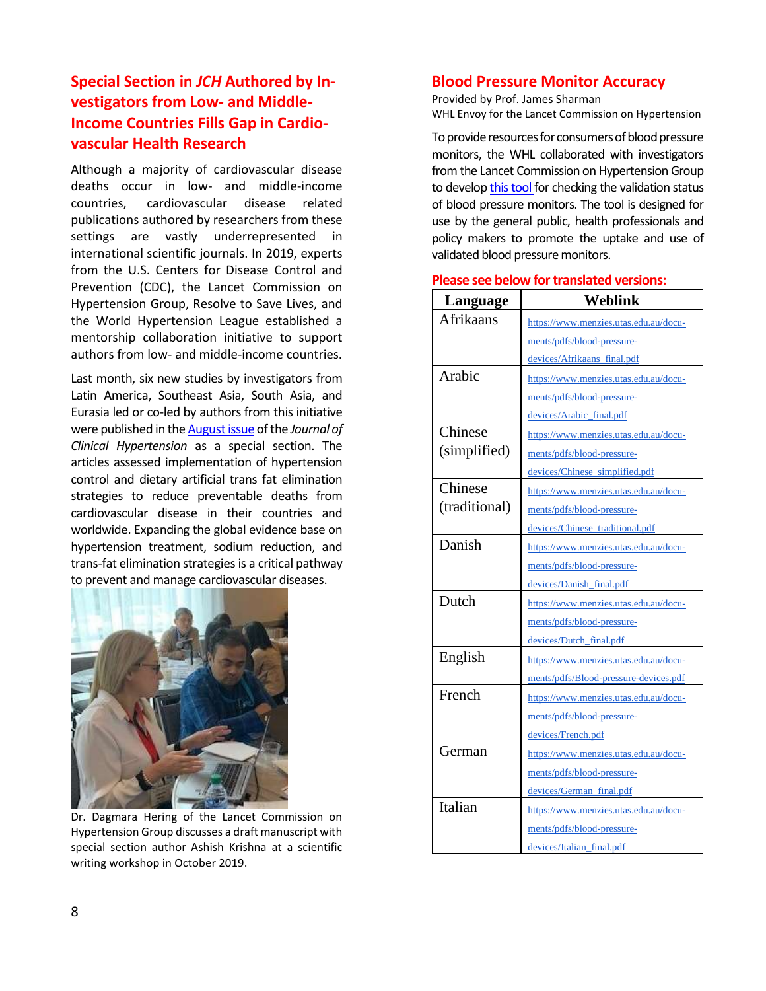## **Special Section in** *JCH* **Authored by Investigators from Low- and Middle-Income Countries Fills Gap in Cardiovascular Health Research**

Although a majority of cardiovascular disease deaths occur in low- and middle-income countries, cardiovascular disease related publications authored by researchers from these settings are vastly underrepresented in international scientific journals. In 2019, experts from the U.S. Centers for Disease Control and Prevention (CDC), the Lancet Commission on Hypertension Group, Resolve to Save Lives, and the World Hypertension League established a mentorship collaboration initiative to support authors from low- and middle-income countries.

Last month, six new studies by investigators from Latin America, Southeast Asia, South Asia, and Eurasia led or co-led by authors from this initiative were published in th[e August issue](https://onlinelibrary.wiley.com/toc/17517176/2020/22/8) of the *Journal of Clinical Hypertension* as a [special section.](https://onlinelibrary.wiley.com/toc/17517176/2020/22/8) The articles assessed implementation of hypertension control and dietary artificial trans fat elimination strategies to reduce preventable deaths from cardiovascular disease in their countries and worldwide. Expanding the global evidence base on hypertension treatment, sodium reduction, and trans-fat elimination strategies is a critical pathway to prevent and manage cardiovascular diseases.



Dr. Dagmara Hering of the Lancet Commission on Hypertension Group discusses a draft manuscript with special section author Ashish Krishna at a scientific writing workshop in October 2019.

## **Blood Pressure Monitor Accuracy**

Provided by Prof. James Sharman WHL Envoy for the Lancet Commission on Hypertension

To provide resources for consumers of blood pressure monitors, the WHL collaborated with investigators from the Lancet Commission on Hypertension Group to develo[p this tool f](https://www.menzies.utas.edu.au/documents/pdfs/Blood-pressure-devices.pdf)or checking the validation status of blood pressure monitors. The tool is designed for use by the general public, health professionals and policy makers to promote the uptake and use of validated blood pressure monitors.

| Language      | Weblink                               |
|---------------|---------------------------------------|
| Afrikaans     | https://www.menzies.utas.edu.au/docu- |
|               | ments/pdfs/blood-pressure-            |
|               | devices/Afrikaans_final.pdf           |
| Arabic        | https://www.menzies.utas.edu.au/docu- |
|               | ments/pdfs/blood-pressure-            |
|               | devices/Arabic_final.pdf              |
| Chinese       | https://www.menzies.utas.edu.au/docu- |
| (simplified)  | ments/pdfs/blood-pressure-            |
|               | devices/Chinese_simplified.pdf        |
| Chinese       | https://www.menzies.utas.edu.au/docu- |
| (traditional) | ments/pdfs/blood-pressure-            |
|               | devices/Chinese_traditional.pdf       |
| Danish        | https://www.menzies.utas.edu.au/docu- |
|               | ments/pdfs/blood-pressure-            |
|               | devices/Danish_final.pdf              |
| Dutch         | https://www.menzies.utas.edu.au/docu- |
|               | ments/pdfs/blood-pressure-            |
|               | devices/Dutch_final.pdf               |
| English       | https://www.menzies.utas.edu.au/docu- |
|               | ments/pdfs/Blood-pressure-devices.pdf |
| French        | https://www.menzies.utas.edu.au/docu- |
|               | ments/pdfs/blood-pressure-            |
|               | devices/French.pdf                    |
| German        | https://www.menzies.utas.edu.au/docu- |
|               | ments/pdfs/blood-pressure-            |
|               | devices/German_final.pdf              |
| Italian       | https://www.menzies.utas.edu.au/docu- |
|               | ments/pdfs/blood-pressure-            |
|               | devices/Italian_final.pdf             |

#### **Please see below for translated versions:**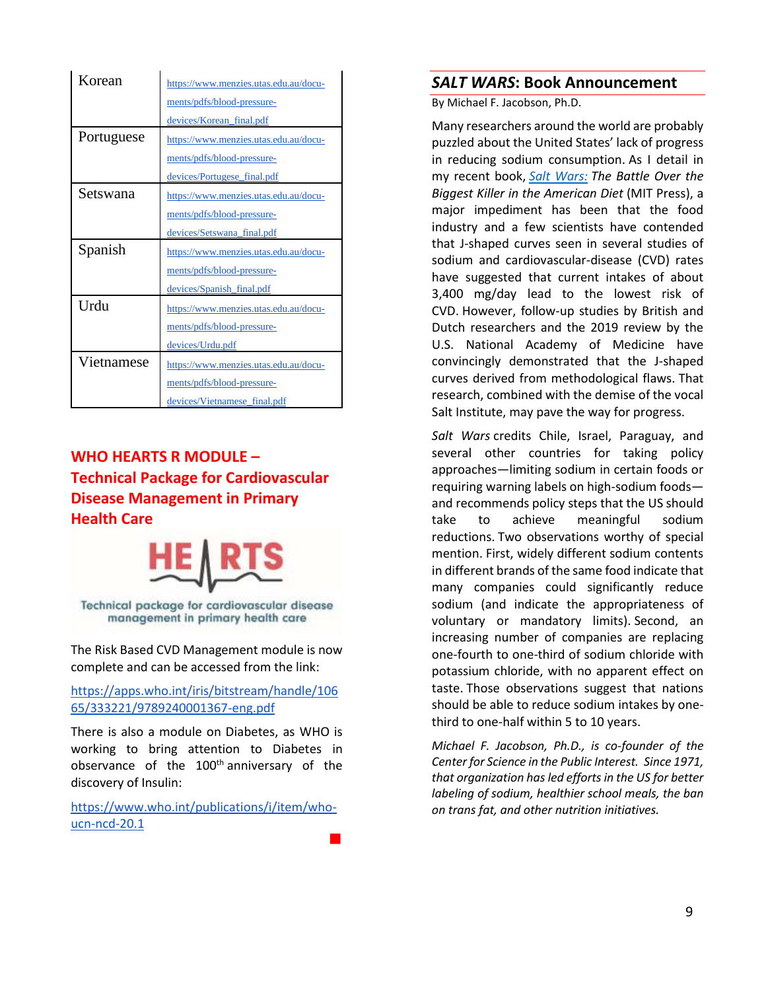| Korean     | https://www.menzies.utas.edu.au/docu- |
|------------|---------------------------------------|
|            | ments/pdfs/blood-pressure-            |
|            | devices/Korean_final.pdf              |
| Portuguese | https://www.menzies.utas.edu.au/docu- |
|            | ments/pdfs/blood-pressure-            |
|            | devices/Portugese_final.pdf           |
| Setswana   | https://www.menzies.utas.edu.au/docu- |
|            | ments/pdfs/blood-pressure-            |
|            | devices/Setswana_final.pdf            |
|            |                                       |
| Spanish    | https://www.menzies.utas.edu.au/docu- |
|            | ments/pdfs/blood-pressure-            |
|            | devices/Spanish_final.pdf             |
| Urdu       | https://www.menzies.utas.edu.au/docu- |
|            | ments/pdfs/blood-pressure-            |
|            | devices/Urdu.pdf                      |
| Vietnamese | https://www.menzies.utas.edu.au/docu- |
|            | ments/pdfs/blood-pressure-            |

## **WHO HEARTS R MODULE – Technical Package for Cardiovascular Disease Management in Primary Health Care**



Technical package for cardiovascular disease management in primary health care

The Risk Based CVD Management module is now complete and can be accessed from the link:

[https://apps.who.int/iris/bitstream/handle/106](https://urldefense.com/v3/__https:/apps.who.int/iris/bitstream/handle/10665/333221/9789240001367-eng.pdf?sequence=1&isAllowed=y__;!!Ab1_Rw!Tb_Gn8pB4fr1WtPeJ2Uy6CB-118SU4IDel0veMpEeqFqiPPtyJfDOCkWUbihArBA$) [65/333221/9789240001367-eng.pdf](https://urldefense.com/v3/__https:/apps.who.int/iris/bitstream/handle/10665/333221/9789240001367-eng.pdf?sequence=1&isAllowed=y__;!!Ab1_Rw!Tb_Gn8pB4fr1WtPeJ2Uy6CB-118SU4IDel0veMpEeqFqiPPtyJfDOCkWUbihArBA$)

There is also a module on Diabetes, as WHO is working to bring attention to Diabetes in observance of the 100<sup>th</sup> anniversary of the discovery of Insulin:

[https://www.who.int/publications/i/item/who](https://urldefense.com/v3/__https:/www.who.int/publications/i/item/who-ucn-ncd-20.1__;!!Ab1_Rw!Tb_Gn8pB4fr1WtPeJ2Uy6CB-118SU4IDel0veMpEeqFqiPPtyJfDOCkWUcjUVnJZ$)[ucn-ncd-20.1](https://urldefense.com/v3/__https:/www.who.int/publications/i/item/who-ucn-ncd-20.1__;!!Ab1_Rw!Tb_Gn8pB4fr1WtPeJ2Uy6CB-118SU4IDel0veMpEeqFqiPPtyJfDOCkWUcjUVnJZ$)

**Contract Contract District** 

## *SALT WARS***: Book Announcement**

By Michael F. Jacobson, Ph.D.

Many researchers around the world are probably puzzled about the United States' lack of progress in reducing sodium consumption. As I detail in my recent book, *[Salt Wars:](https://www.amazon.com/Salt-Wars-Battle-Biggest-American/dp/0262044447/ref=sr_1_1?dchild=1&keywords=salt+wars&qid=1596505657&s=books&sr=1-1) The Battle Over the Biggest Killer in the American Diet* (MIT Press), a major impediment has been that the food industry and a few scientists have contended that J-shaped curves seen in several studies of sodium and cardiovascular-disease (CVD) rates have suggested that current intakes of about 3,400 mg/day lead to the lowest risk of CVD. However, follow-up studies by British and Dutch researchers and the 2019 review by the U.S. National Academy of Medicine have convincingly demonstrated that the J-shaped curves derived from methodological flaws. That research, combined with the demise of the vocal Salt Institute, may pave the way for progress.

*Salt Wars* credits Chile, Israel, Paraguay, and several other countries for taking policy approaches—limiting sodium in certain foods or requiring warning labels on high-sodium foods and recommends policy steps that the US should take to achieve meaningful sodium reductions. Two observations worthy of special mention. First, widely different sodium contents in different brands of the same food indicate that many companies could significantly reduce sodium (and indicate the appropriateness of voluntary or mandatory limits). Second, an increasing number of companies are replacing one-fourth to one-third of sodium chloride with potassium chloride, with no apparent effect on taste. Those observations suggest that nations should be able to reduce sodium intakes by onethird to one-half within 5 to 10 years.

*Michael F. Jacobson, Ph.D., is co-founder of the Center for Science in the Public Interest. Since 1971, that organization has led efforts in the US for better labeling of sodium, healthier school meals, the ban on trans fat, and other nutrition initiatives.*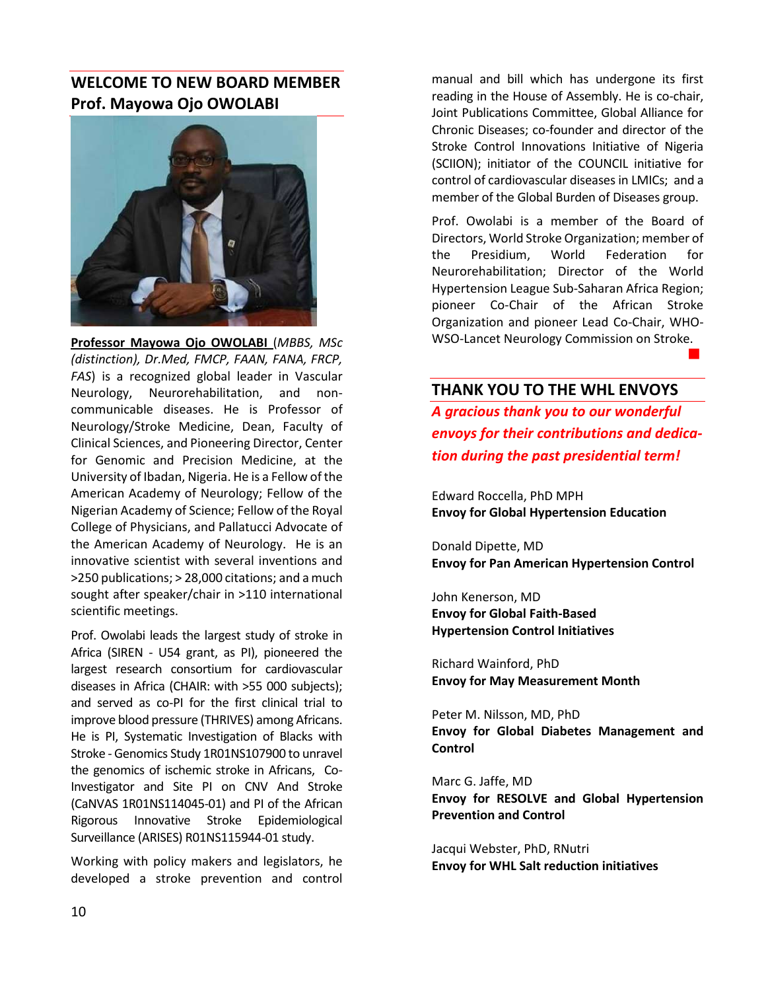## **WELCOME TO NEW BOARD MEMBER Prof. Mayowa Ojo OWOLABI**



**Professor Mayowa Ojo OWOLABI** (*MBBS, MSc (distinction), Dr.Med, FMCP, FAAN, FANA, FRCP, FAS*) is a recognized global leader in Vascular Neurology, Neurorehabilitation, and noncommunicable diseases. He is Professor of Neurology/Stroke Medicine, Dean, Faculty of Clinical Sciences, and Pioneering Director, Center for Genomic and Precision Medicine, at the University of Ibadan, Nigeria. He is a Fellow of the American Academy of Neurology; Fellow of the Nigerian Academy of Science; Fellow of the Royal College of Physicians, and Pallatucci Advocate of the American Academy of Neurology. He is an innovative scientist with several inventions and >250 publications; > 28,000 citations; and a much sought after speaker/chair in >110 international scientific meetings.

Prof. Owolabi leads the largest study of stroke in Africa (SIREN - U54 grant, as PI), pioneered the largest research consortium for cardiovascular diseases in Africa (CHAIR: with >55 000 subjects); and served as co-PI for the first clinical trial to improve blood pressure (THRIVES) among Africans. He is PI, Systematic Investigation of Blacks with Stroke - Genomics Study 1R01NS107900 to unravel the genomics of ischemic stroke in Africans, Co-Investigator and Site PI on CNV And Stroke (CaNVAS 1R01NS114045-01) and PI of the African Rigorous Innovative Stroke Epidemiological Surveillance (ARISES) R01NS115944-01 study.

Working with policy makers and legislators, he developed a stroke prevention and control

manual and bill which has undergone its first reading in the House of Assembly. He is co-chair, Joint Publications Committee, Global Alliance for Chronic Diseases; co-founder and director of the Stroke Control Innovations Initiative of Nigeria (SCIION); initiator of the COUNCIL initiative for control of cardiovascular diseases in LMICs; and a member of the Global Burden of Diseases group.

Prof. Owolabi is a member of the Board of Directors, World Stroke Organization; member of the Presidium, World Federation for Neurorehabilitation; Director of the World Hypertension League Sub-Saharan Africa Region; pioneer Co-Chair of the African Stroke Organization and pioneer Lead Co-Chair, WHO-WSO-Lancet Neurology Commission on Stroke.

#### **THANK YOU TO THE WHL ENVOYS**

*A gracious thank you to our wonderful envoys for their contributions and dedication during the past presidential term!*

and the company's company's company's

Edward Roccella, PhD MPH **Envoy for Global Hypertension Education** 

Donald Dipette, MD **Envoy for Pan American Hypertension Control**

John Kenerson, MD **Envoy for Global Faith-Based Hypertension Control Initiatives**

Richard Wainford, PhD **Envoy for May Measurement Month**

Peter M. Nilsson, MD, PhD **Envoy for Global Diabetes Management and Control**

Marc G. Jaffe, MD **Envoy for RESOLVE and Global Hypertension Prevention and Control**

Jacqui Webster, PhD, RNutri **Envoy for WHL Salt reduction initiatives**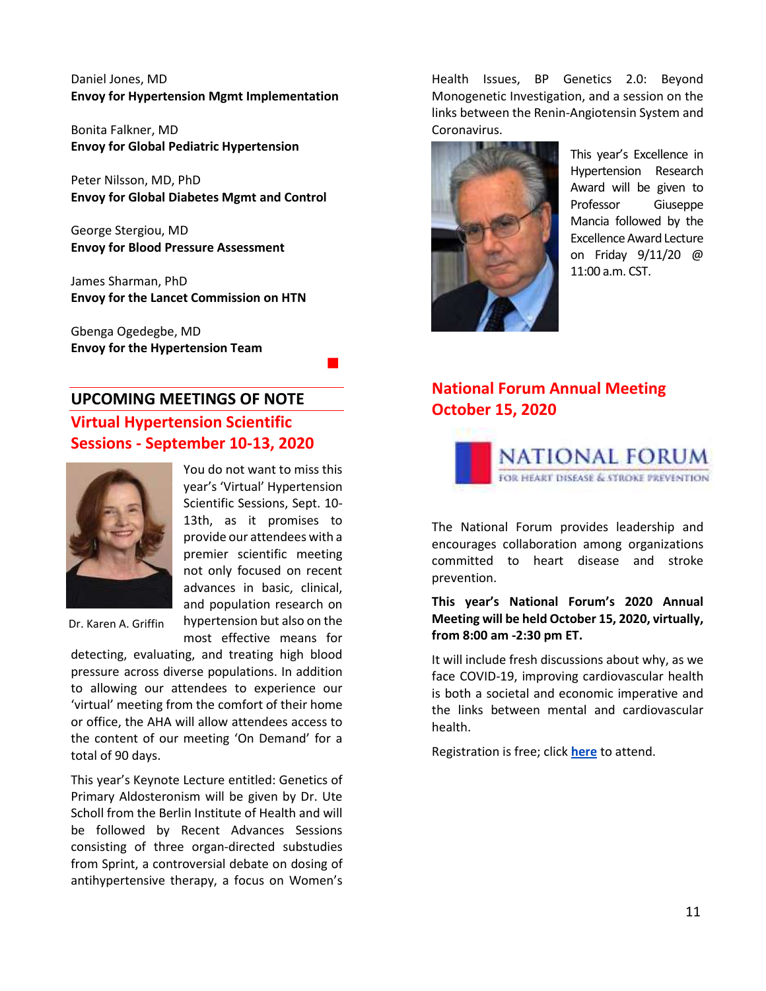Daniel Jones, MD **Envoy for Hypertension Mgmt Implementation**

Bonita Falkner, MD **Envoy for Global Pediatric Hypertension**

Peter Nilsson, MD, PhD **Envoy for Global Diabetes Mgmt and Control**

George Stergiou, MD **Envoy for Blood Pressure Assessment**

James Sharman, PhD **Envoy for the Lancet Commission on HTN**

Gbenga Ogedegbe, MD **Envoy for the Hypertension Team**

and the company's company's state of

# **UPCOMING MEETINGS OF NOTE Virtual Hypertension Scientific Sessions - September 10-13, 2020**



You do not want to miss this year's 'Virtual' Hypertension Scientific Sessions, Sept. 10- 13th, as it promises to provide our attendees with a premier scientific meeting not only focused on recent advances in basic, clinical, and population research on hypertension but also on the

most effective means for

Dr. Karen A. Griffin

detecting, evaluating, and treating high blood pressure across diverse populations. In addition to allowing our attendees to experience our 'virtual' meeting from the comfort of their home or office, the AHA will allow attendees access to the content of our meeting 'On Demand' for a total of 90 days.

This year's Keynote Lecture entitled: Genetics of Primary Aldosteronism will be given by Dr. Ute Scholl from the Berlin Institute of Health and will be followed by Recent Advances Sessions consisting of three organ-directed substudies from Sprint, a controversial debate on dosing of antihypertensive therapy, a focus on Women's

Health Issues, BP Genetics 2.0: Beyond Monogenetic Investigation, and a session on the links between the Renin-Angiotensin System and Coronavirus.



This year's Excellence in Hypertension Research Award will be given to Professor Giuseppe Mancia followed by the Excellence Award Lecture on Friday 9/11/20 @ 11:00 a.m. CST.

## **National Forum Annual Meeting October 15, 2020**



The National Forum provides leadership and encourages collaboration among organizations committed to heart disease and stroke prevention.

#### **This year's National Forum's 2020 Annual Meeting will be held October 15, 2020, virtually, from 8:00 am -2:30 pm ET.**

It will include fresh discussions about why, as we face COVID-19, improving cardiovascular health is both a societal and economic imperative and the links between mental and cardiovascular health.

Registration is free; click **[here](https://www.eventbrite.com/e/national-forum-18th-annual-meeting-tickets-100937709406)** to attend.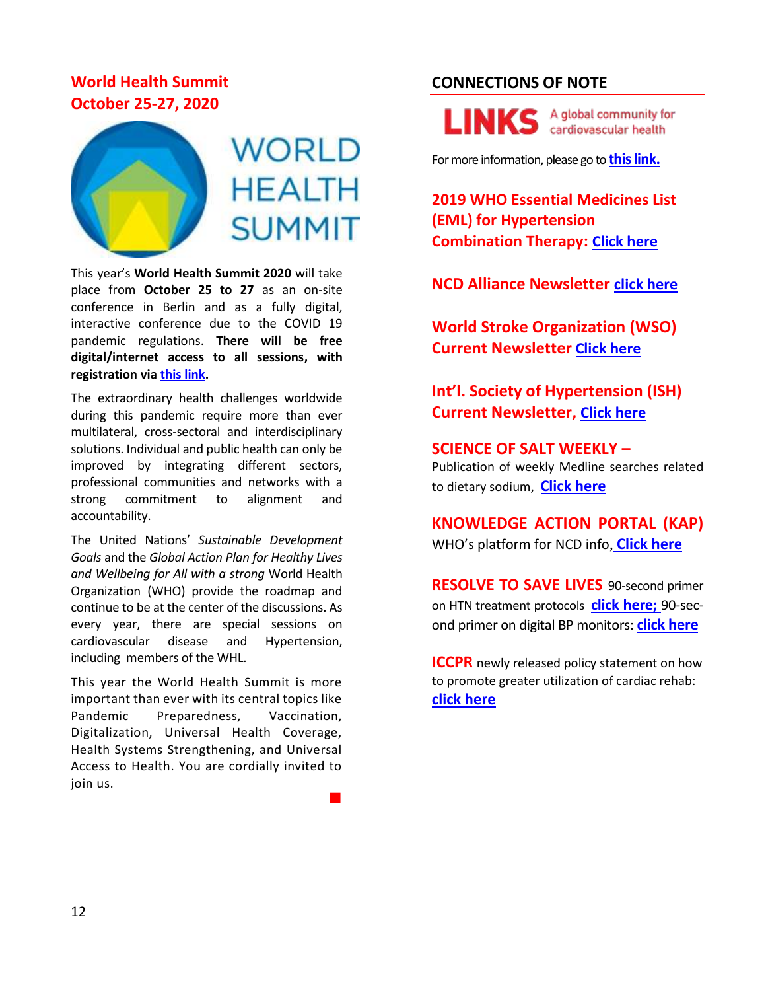# **World Health Summit October 25-27, 2020**



# **WORLD HEALTH SUMMIT**

This year's **World Health Summit 2020** will take place from **October 25 to 27** as an on-site conference in Berlin and as a fully digital, interactive conference due to the COVID 19 pandemic regulations. **There will be free digital/internet access to all sessions, with registration via [this link.](https://www.worldhealthsummit.org/summit.html)** 

The extraordinary health challenges worldwide during this pandemic require more than ever multilateral, cross-sectoral and interdisciplinary solutions. Individual and public health can only be improved by integrating different sectors, professional communities and networks with a strong commitment to alignment and accountability.

The United Nations' *Sustainable Development Goals* and the *Global Action Plan for Healthy Lives and Wellbeing for All with a strong* World Health Organization (WHO) provide the roadmap and continue to be at the center of the discussions. As every year, there are special sessions on cardiovascular disease and Hypertension, including members of the WHL.

This year the World Health Summit is more important than ever with its central topics like Pandemic Preparedness, Vaccination, Digitalization, Universal Health Coverage, Health Systems Strengthening, and Universal Access to Health. You are cordially invited to join us.

**Contract Contract Contract** 

## **CONNECTIONS OF NOTE**

A global community for LINK cardiovascular health

For more information, please go to **[this link.](https://www.linkscommunity.org/)**

**2019 WHO Essential Medicines List (EML) for Hypertension Combination Therapy: [Click here](https://apps.who.int/iris/bitstream/handle/10665/325771/WHO-MVP-EMP-IAU-2019.06-eng.pdf?sequence=1&isAllowed=y)**

**NCD Alliance Newsletter [click here](https://ncdalliance.org/newsletters)**

**World Stroke Organization (WSO) Current Newsletter [Click here](https://www.world-stroke.org/news-and-blog/newsletters)**

**Int'l. Society of Hypertension (ISH) Current Newsletter, [Click here](https://ish-world.com/news/month/2020-08/)**

**SCIENCE OF SALT WEEKLY –** Publication of weekly Medline searches related to dietary sodium, **[Click here](https://www.whoccsaltreduction.org/portfolio/science-of-salt-weekly/)**

**KNOWLEDGE ACTION PORTAL (KAP)** WHO's platform for NCD info, **[Click here](https://www.knowledge-action-portal.com/)**

**RESOLVE TO SAVE LIVES** [90-second primer](https://www.youtube.com/watch?v=8ID2Rg0x29E)  on HTN [treatment protocols](https://www.youtube.com/watch?v=8ID2Rg0x29E) **[click here;](https://www.youtube.com/watch?v=8ID2Rg0x29E)** 90-second primer on digital BP monitors: **[click here](https://www.youtube.com/watch?v=vqhpbfg8U9E&feature=youtu.be)**

**ICCPR** newly released policy statement on how to promote greater utilization of cardiac rehab: **[click here](https://journals.scholarsportal.info/pdf/01675273/unassigned/nfp_ppuooccparps.xml)**